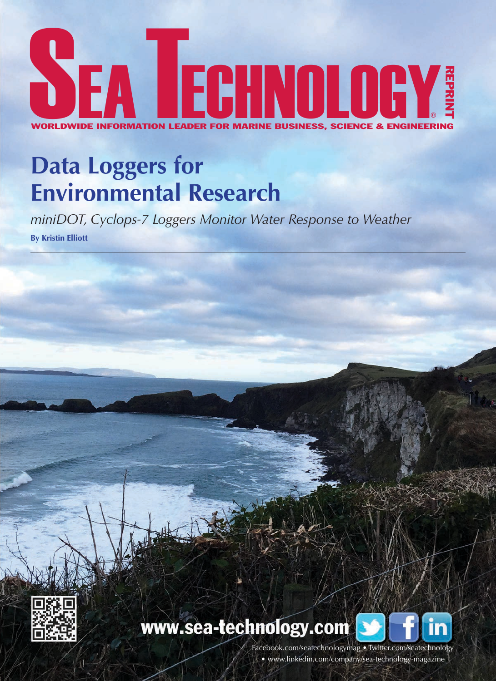

# **Data Loggers for Environmental Research**

*miniDOT, Cyclops-7 Loggers Monitor Water Response to Weather*  **By Kristin Elliott**



### www.sea-technology.com



Facebook.com/seatechnologymag • Twitter.com/seatechnology • www.linkedin.com/company/sea-technology-magazine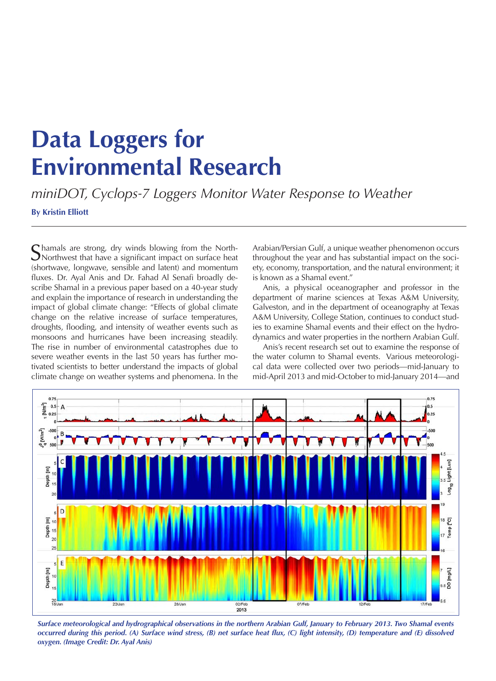## **Data Loggers for Environmental Research**

*miniDOT, Cyclops-7 Loggers Monitor Water Response to Weather*  **By Kristin Elliott**

Shamals are strong, dry winds blowing from the North-<br>Northwest that have a significant impact on surface heat (shortwave, longwave, sensible and latent) and momentum fluxes. Dr. Ayal Anis and Dr. Fahad Al Senafi broadly describe Shamal in a previous paper based on a 40-year study and explain the importance of research in understanding the impact of global climate change: "Effects of global climate change on the relative increase of surface temperatures, droughts, flooding, and intensity of weather events such as monsoons and hurricanes have been increasing steadily. The rise in number of environmental catastrophes due to severe weather events in the last 50 years has further motivated scientists to better understand the impacts of global

climate change on weather systems and phenomena. In the

Arabian/Persian Gulf, a unique weather phenomenon occurs throughout the year and has substantial impact on the society, economy, transportation, and the natural environment; it is known as a Shamal event."

Anis, a physical oceanographer and professor in the department of marine sciences at Texas A&M University, Galveston, and in the department of oceanography at Texas A&M University, College Station, continues to conduct studies to examine Shamal events and their effect on the hydrodynamics and water properties in the northern Arabian Gulf.

Anis's recent research set out to examine the response of the water column to Shamal events. Various meteorological data were collected over two periods—mid-January to mid-April 2013 and mid-October to mid-January 2014—and



*Surface meteorological and hydrographical observations in the northern Arabian Gulf, January to February 2013. Two Shamal events occurred during this period. (A) Surface wind stress, (B) net surface heat flux, (C) light intensity, (D) temperature and (E) dissolved oxygen. (Image Credit: Dr. Ayal Anis)*